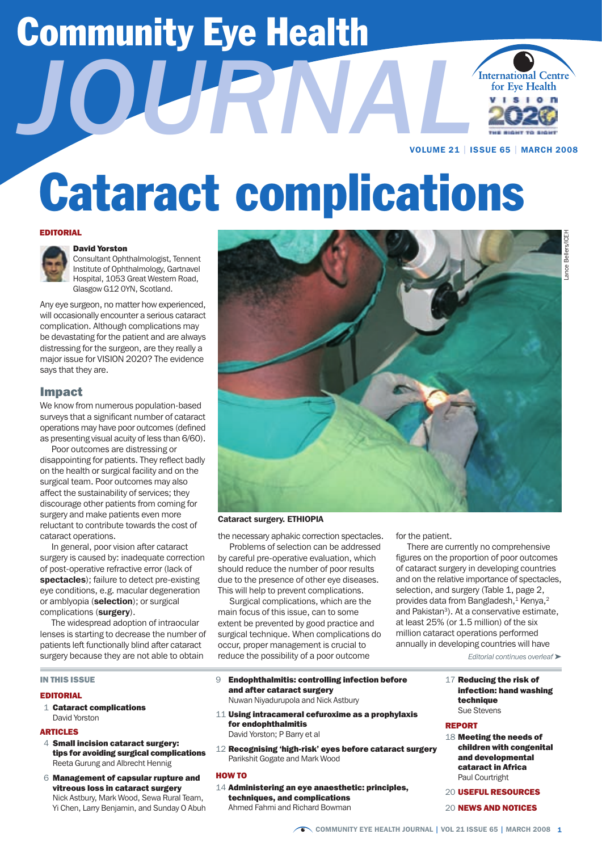# Community Eye Health *Journal*



VOLUME 21 | ISSUE 65 | MARCH 2008

# Cataract complications

#### EDITORIAL



#### David Yorston

Consultant Ophthalmologist, Tennent Institute of Ophthalmology, Gartnavel Hospital, 1053 Great Western Road, Glasgow G12 0YN, Scotland.

Any eye surgeon, no matter how experienced, will occasionally encounter a serious cataract complication. Although complications may be devastating for the patient and are always distressing for the surgeon, are they really a major issue for VISION 2020? The evidence says that they are.

#### Impact

We know from numerous population-based surveys that a significant number of cataract operations may have poor outcomes (defined as presenting visual acuity of less than 6/60).

Poor outcomes are distressing or disappointing for patients. They reflect badly on the health or surgical facility and on the surgical team. Poor outcomes may also affect the sustainability of services; they discourage other patients from coming for surgery and make patients even more reluctant to contribute towards the cost of cataract operations.

In general, poor vision after cataract surgery is caused by: inadequate correction of post-operative refractive error (lack of spectacles); failure to detect pre-existing eye conditions, e.g. macular degeneration or amblyopia (selection); or surgical complications (surgery).

The widespread adoption of intraocular lenses is starting to decrease the number of patients left functionally blind after cataract surgery because they are not able to obtain

#### In This Issue

#### **EDITOPIAL**

 1 Cataract complications David Yorston

#### **ARTICLES**

- 4 Small incision cataract surgery: tips for avoiding surgical complications Reeta Gurung and Albrecht Hennig
- 6 Management of capsular rupture and vitreous loss in cataract surgery Nick Astbury, Mark Wood, Sewa Rural Team, Yi Chen, Larry Benjamin, and Sunday O Abuh



#### Cataract surgery. ETHIOPIA

the necessary aphakic correction spectacles.

Problems of selection can be addressed by careful pre-operative evaluation, which should reduce the number of poor results due to the presence of other eye diseases. This will help to prevent complications.

Surgical complications, which are the main focus of this issue, can to some extent be prevented by good practice and surgical technique. When complications do occur, proper management is crucial to reduce the possibility of a poor outcome

- 9 Endophthalmitis: controlling infection before and after cataract surgery Nuwan Niyadurupola and Nick Astbury
- 11 Using intracameral cefuroxime as a prophylaxis for endophthalmitis David Yorston; P Barry et al
- 12 Recognising 'high-risk' eyes before cataract surgery Parikshit Gogate and Mark Wood

#### HOW TO

14 Administering an eye anaesthetic: principles, techniques, and complications Ahmed Fahmi and Richard Bowman

for the patient.

There are currently no comprehensive figures on the proportion of poor outcomes of cataract surgery in developing countries and on the relative importance of spectacles, selection, and surgery (Table 1, page 2, provides data from Bangladesh,<sup>1</sup> Kenya,<sup>2</sup> and Pakistan<sup>3</sup>). At a conservative estimate, at least 25% (or 1.5 million) of the six million cataract operations performed annually in developing countries will have

*Editorial continues overleaf* ➤

17 Reducing the risk of infection: hand washing technique Sue Stevens

#### **DEDAPT**

- 18 Meeting the needs of children with congenital and developmental cataract in Africa Paul Courtright
- 20 USEFUL RESOURCES

#### 20 NEWS AND NOTICES

Lance Bellers/ICEH ance Bellers/ICEH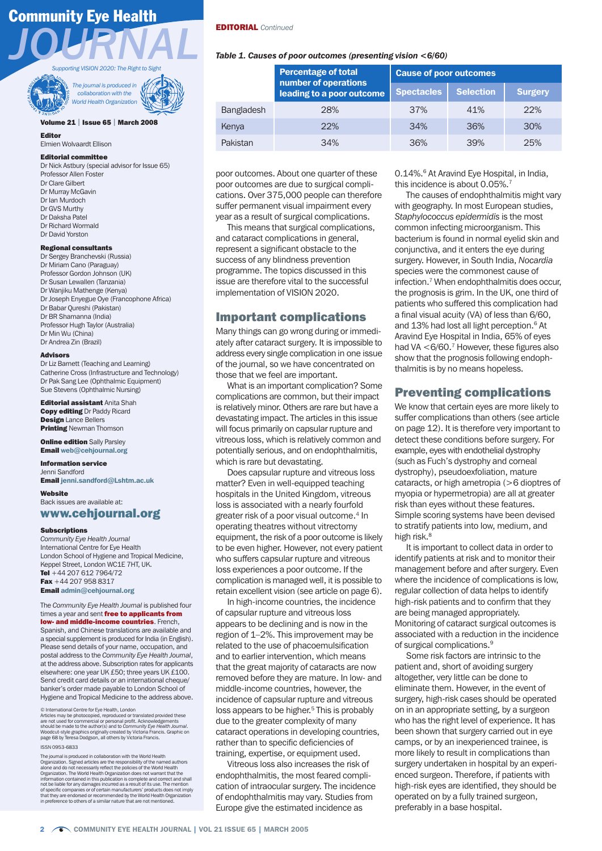## Community Eye Health



*The journal is produced in collaboration with the*  **World Health Organization** 

#### Volume 21 | Issue 65 | March 2008

#### Editor

Elmien Wolvaardt Ellison

#### Editorial committee

Dr Nick Astbury (special advisor for Issue 65) Professor Allen Foster Dr Clare Gilbert Dr Murray McGavin Dr Ian Murdoch Dr GVS Murthy Dr Daksha Patel Dr Richard Wormald Dr David Yorston

#### Regional consultants

Dr Sergey Branchevski (Russia) Dr Miriam Cano (Paraguay) Professor Gordon Johnson (UK) Dr Susan Lewallen (Tanzania) Dr Wanjiku Mathenge (Kenya) Dr Joseph Enyegue Oye (Francophone Africa) Dr Babar Qureshi (Pakistan) Dr BR Shamanna (India) Professor Hugh Taylor (Australia) Dr Min Wu (China) Dr Andrea Zin (Brazil)

#### Advisors

Dr Liz Barnett (Teaching and Learning) Catherine Cross (Infrastructure and Technology) Dr Pak Sang Lee (Ophthalmic Equipment) Sue Stevens (Ophthalmic Nursing)

**Editorial assistant Anita Shah Copy editing Dr Paddy Ricard** Design Lance Bellers **Printing Newman Thomson** 

**Online edition** Sally Parsley Email web@cehjournal.org

Information service Jenni Sandford Email jenni.sandford@Lshtm.ac.uk

Website Back issues are available at:

### www.cehjournal.org

#### **Subscriptions**

*Community Eye Health Journal* International Centre for Eye Health London School of Hygiene and Tropical Medicine, Keppel Street, London WC1E 7HT, UK. Tel +44 207 612 7964/72 Fax +44 207 958 8317 Email admin@cehjournal.org

The *Community Eye Health Journal* is published four times a year and sent free to applicants from low- and middle-income countries. French,

Spanish, and Chinese translations are available and a special supplement is produced for India (in English). Please send details of your name, occupation, and postal address to the *Community Eye Health Journal*, at the address above. Subscription rates for applicants elsewhere: one year UK £50; three years UK £100. Send credit card details or an international cheque/ banker's order made payable to London School of Hygiene and Tropical Medicine to the address above.

#### © International Centre for Eye Health, London

Articles may be photocopied, reproduced or translated provided these<br>are not used for commercial or personal profit. Acknowledgements<br>should be made to the author(s) and to Community Eye Health Journal.<br>Woodcut-style graph

#### ISSN 0953-6833

The journal is produced in collaboration with the World Health<br>Organization. Signed articles are the responsibility of the named authors<br>alone and do not necessarily reflect the policies of the World Health<br>Organization. T not be liable for any damages incurred as a result of its use. The mention of specific companies or of certain manufacturers' products does not imply that they are endorsed or recommended by the World Health Organization in preference to others of a similar nature that are not mentioned.

#### EDITORIAL *Continued*

#### *Table 1. Causes of poor outcomes (presenting vision <6/60)*

|                   | <b>Percentage of total</b><br>number of operations<br>leading to a poor outcome | <b>Cause of poor outcomes</b> |           |                |
|-------------------|---------------------------------------------------------------------------------|-------------------------------|-----------|----------------|
|                   |                                                                                 | <b>Spectacles</b>             | Selection | <b>Surgery</b> |
| <b>Bangladesh</b> | 28%                                                                             | 37%                           | 41%       | 22%            |
| Kenya             | 22%                                                                             | 34%                           | 36%       | 30%            |
| Pakistan          | 34%                                                                             | 36%                           | 39%       | 25%            |

poor outcomes. About one quarter of these poor outcomes are due to surgical complications. Over 375,000 people can therefore suffer permanent visual impairment every year as a result of surgical complications.

This means that surgical complications, and cataract complications in general, represent a significant obstacle to the success of any blindness prevention programme. The topics discussed in this issue are therefore vital to the successful implementation of VISION 2020.

#### Important complications

Many things can go wrong during or immediately after cataract surgery. It is impossible to address every single complication in one issue of the journal, so we have concentrated on those that we feel are important.

What is an important complication? Some complications are common, but their impact is relatively minor. Others are rare but have a devastating impact. The articles in this issue will focus primarily on capsular rupture and vitreous loss, which is relatively common and potentially serious, and on endophthalmitis, which is rare but devastating.

Does capsular rupture and vitreous loss matter? Even in well-equipped teaching hospitals in the United Kingdom, vitreous loss is associated with a nearly fourfold greater risk of a poor visual outcome.<sup>4</sup> In operating theatres without vitrectomy equipment, the risk of a poor outcome is likely to be even higher. However, not every patient who suffers capsular rupture and vitreous loss experiences a poor outcome. If the complication is managed well, it is possible to retain excellent vision (see article on page 6).

In high-income countries, the incidence of capsular rupture and vitreous loss appears to be declining and is now in the region of 1–2%. This improvement may be related to the use of phacoemulsification and to earlier intervention, which means that the great majority of cataracts are now removed before they are mature. In low- and middle-income countries, however, the incidence of capsular rupture and vitreous loss appears to be higher.<sup>5</sup> This is probably due to the greater complexity of many cataract operations in developing countries, rather than to specific deficiencies of training, expertise, or equipment used.

Vitreous loss also increases the risk of endophthalmitis, the most feared complication of intraocular surgery. The incidence of endophthalmitis may vary. Studies from Europe give the estimated incidence as

0.14%.6 At Aravind Eye Hospital, in India, this incidence is about 0.05%.7

The causes of endophthalmitis might vary with geography. In most European studies, *Staphylococcus epidermidis* is the most common infecting microorganism. This bacterium is found in normal eyelid skin and conjunctiva, and it enters the eye during surgery. However, in South India, *Nocardia* species were the commonest cause of infection.7 When endophthalmitis does occur, the prognosis is grim. In the UK, one third of patients who suffered this complication had a final visual acuity (VA) of less than 6/60, and 13% had lost all light perception.<sup>6</sup> At Aravind Eye Hospital in India, 65% of eyes had VA <6/60.<sup>7</sup> However, these figures also show that the prognosis following endophthalmitis is by no means hopeless.

#### Preventing complications

We know that certain eyes are more likely to suffer complications than others (see article on page 12). It is therefore very important to detect these conditions before surgery. For example, eyes with endothelial dystrophy (such as Fuch's dystrophy and corneal dystrophy), pseudoexfoliation, mature cataracts, or high ametropia (>6 dioptres of myopia or hypermetropia) are all at greater risk than eyes without these features. Simple scoring systems have been devised to stratify patients into low, medium, and high risk.<sup>8</sup>

It is important to collect data in order to identify patients at risk and to monitor their management before and after surgery. Even where the incidence of complications is low, regular collection of data helps to identify high-risk patients and to confirm that they are being managed appropriately. Monitoring of cataract surgical outcomes is associated with a reduction in the incidence of surgical complications.9

Some risk factors are intrinsic to the patient and, short of avoiding surgery altogether, very little can be done to eliminate them. However, in the event of surgery, high-risk cases should be operated on in an appropriate setting, by a surgeon who has the right level of experience. It has been shown that surgery carried out in eye camps, or by an inexperienced trainee, is more likely to result in complications than surgery undertaken in hospital by an experienced surgeon. Therefore, if patients with high-risk eyes are identified, they should be operated on by a fully trained surgeon, preferably in a base hospital.